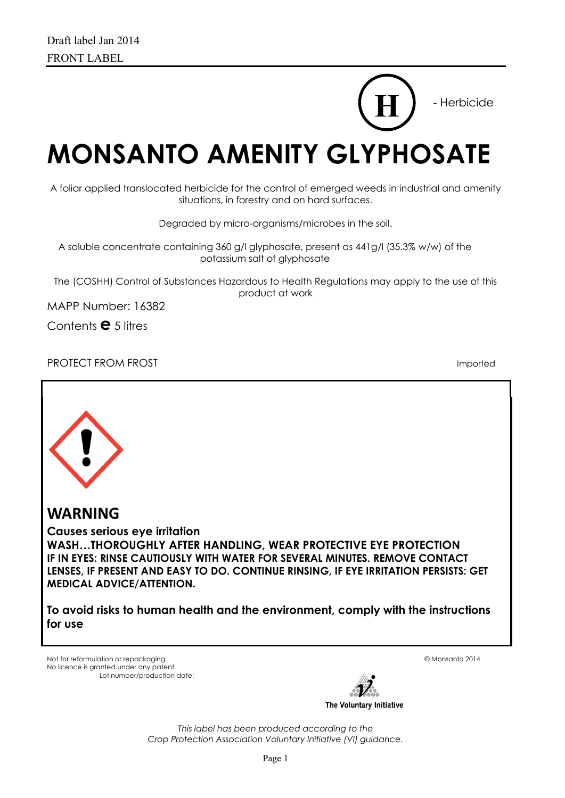# **MONSANTO AMENITY GLYPHOSATE H**

A foliar applied translocated herbicide for the control of emerged weeds in industrial and amenity situations, in forestry and on hard surfaces.

Degraded by micro-organisms/microbes in the soil.

A soluble concentrate containing 360 g/l glyphosate, present as 441g/l (35.3% w/w) of the potassium salt of glyphosate

The (COSHH) Control of Substances Hazardous to Health Regulations may apply to the use of this product at work

MAPP Number: 16382

Contents **e** 5 litres

PROTECT FROM FROST **Imported** 

- Herbicide



**WARNING** 

**Causes serious eye irritation** 

**WASH…THOROUGHLY AFTER HANDLING, WEAR PROTECTIVE EYE PROTECTION IF IN EYES: RINSE CAUTIOUSLY WITH WATER FOR SEVERAL MINUTES. REMOVE CONTACT LENSES, IF PRESENT AND EASY TO DO. CONTINUE RINSING, IF EYE IRRITATION PERSISTS: GET MEDICAL ADVICE/ATTENTION.**

**To avoid risks to human health and the environment, comply with the instructions for use**

Not for reformulation or repackaging. © Monsanto 2014 No licence is granted under any patent. Lot number/production date:



*This label has been produced according to the Crop Protection Association Voluntary Initiative (VI) guidance.*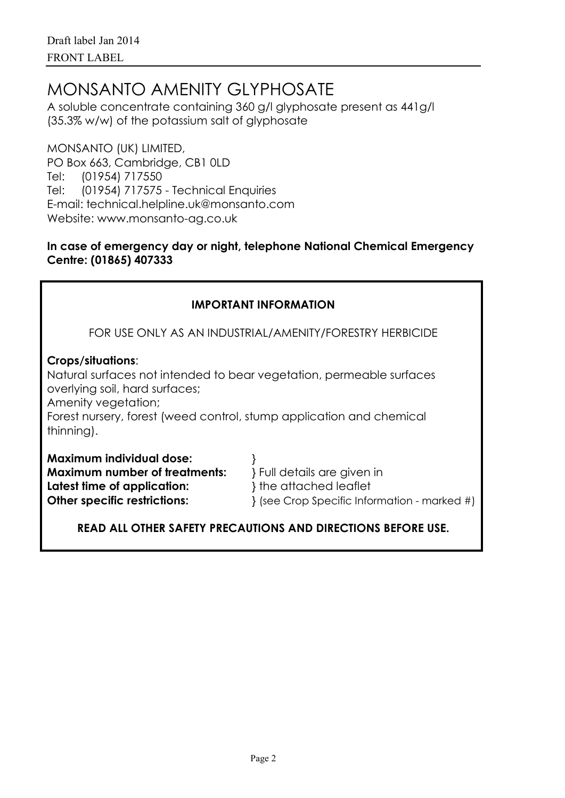# MONSANTO AMENITY GLYPHOSATE

A soluble concentrate containing 360 g/l glyphosate present as 441g/l (35.3% w/w) of the potassium salt of glyphosate

MONSANTO (UK) LIMITED, PO Box 663, Cambridge, CB1 0LD Tel: (01954) 717550 Tel: (01954) 717575 - Technical Enquiries E-mail: technical.helpline.uk@monsanto.com Website: www.monsanto-ag.co.uk

#### **In case of emergency day or night, telephone National Chemical Emergency Centre: (01865) 407333**

| <b>IMPORTANT INFORMATION</b>                                                                                                                                                                                                                                                                                                  |  |  |  |  |  |
|-------------------------------------------------------------------------------------------------------------------------------------------------------------------------------------------------------------------------------------------------------------------------------------------------------------------------------|--|--|--|--|--|
| FOR USE ONLY AS AN INDUSTRIAL/AMENITY/FORESTRY HERBICIDE                                                                                                                                                                                                                                                                      |  |  |  |  |  |
| <b>Crops/situations:</b><br>Natural surfaces not intended to bear vegetation, permeable surfaces<br>overlying soil, hard surfaces;<br>Amenity vegetation;<br>Forest nursery, forest (weed control, stump application and chemical<br>thinning).                                                                               |  |  |  |  |  |
| <b>Maximum individual dose:</b><br><b>Maximum number of treatments:</b><br>} Full details are given in<br>} the attached leaflet<br>Latest time of application:<br><b>Other specific restrictions:</b><br>{ (see Crop Specific Information - marked #)<br><b>READ ALL OTHER SAFETY PRECAUTIONS AND DIRECTIONS BEFORE USE.</b> |  |  |  |  |  |
|                                                                                                                                                                                                                                                                                                                               |  |  |  |  |  |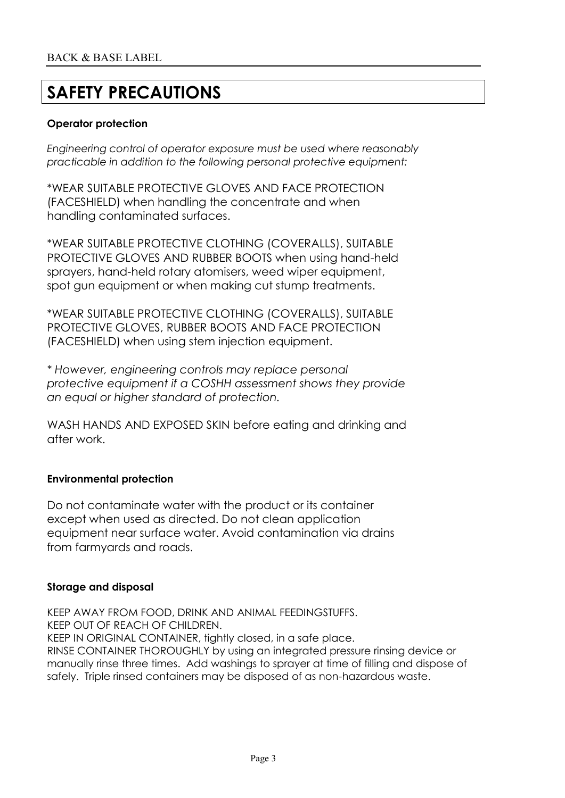# **SAFETY PRECAUTIONS**

#### **Operator protection**

*Engineering control of operator exposure must be used where reasonably practicable in addition to the following personal protective equipment:*

\*WEAR SUITABLE PROTECTIVE GLOVES AND FACE PROTECTION (FACESHIELD) when handling the concentrate and when handling contaminated surfaces.

\*WEAR SUITABLE PROTECTIVE CLOTHING (COVERALLS), SUITABLE PROTECTIVE GLOVES AND RUBBER BOOTS when using hand-held sprayers, hand-held rotary atomisers, weed wiper equipment, spot gun equipment or when making cut stump treatments.

\*WEAR SUITABLE PROTECTIVE CLOTHING (COVERALLS), SUITABLE PROTECTIVE GLOVES, RUBBER BOOTS AND FACE PROTECTION (FACESHIELD) when using stem injection equipment.

*\* However, engineering controls may replace personal protective equipment if a COSHH assessment shows they provide an equal or higher standard of protection.*

WASH HANDS AND EXPOSED SKIN before eating and drinking and after work.

#### **Environmental protection**

Do not contaminate water with the product or its container except when used as directed. Do not clean application equipment near surface water. Avoid contamination via drains from farmyards and roads.

#### **Storage and disposal**

KEEP AWAY FROM FOOD, DRINK AND ANIMAL FEEDINGSTUFFS. KEEP OUT OF REACH OF CHILDREN. KEEP IN ORIGINAL CONTAINER, tightly closed, in a safe place. RINSE CONTAINER THOROUGHLY by using an integrated pressure rinsing device or manually rinse three times. Add washings to sprayer at time of filling and dispose of safely. Triple rinsed containers may be disposed of as non-hazardous waste.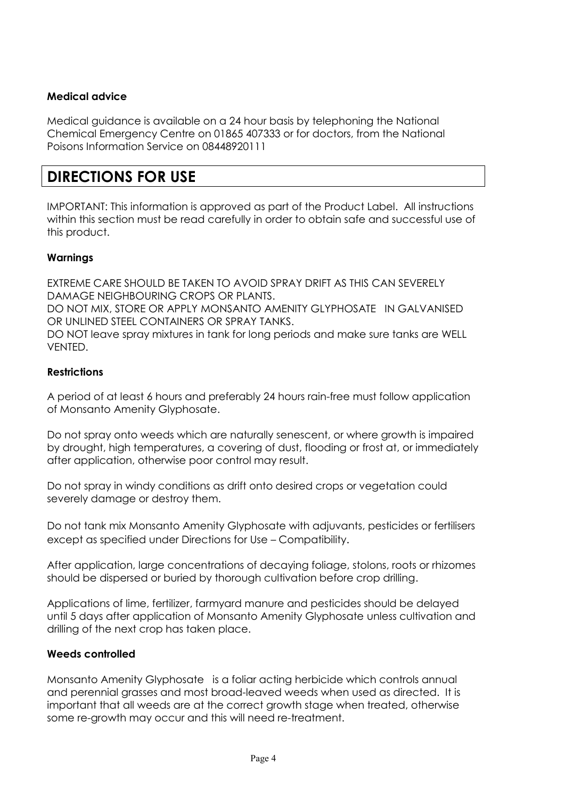#### **Medical advice**

Medical guidance is available on a 24 hour basis by telephoning the National Chemical Emergency Centre on 01865 407333 or for doctors, from the National Poisons Information Service on 08448920111

## **DIRECTIONS FOR USE**

IMPORTANT: This information is approved as part of the Product Label. All instructions within this section must be read carefully in order to obtain safe and successful use of this product.

#### **Warnings**

EXTREME CARE SHOULD BE TAKEN TO AVOID SPRAY DRIFT AS THIS CAN SEVERELY DAMAGE NEIGHBOURING CROPS OR PLANTS. DO NOT MIX, STORE OR APPLY MONSANTO AMENITY GLYPHOSATE IN GALVANISED OR UNLINED STEEL CONTAINERS OR SPRAY TANKS. DO NOT leave spray mixtures in tank for long periods and make sure tanks are WELL VENTED.

#### **Restrictions**

A period of at least 6 hours and preferably 24 hours rain-free must follow application of Monsanto Amenity Glyphosate.

Do not spray onto weeds which are naturally senescent, or where growth is impaired by drought, high temperatures, a covering of dust, flooding or frost at, or immediately after application, otherwise poor control may result.

Do not spray in windy conditions as drift onto desired crops or vegetation could severely damage or destroy them.

Do not tank mix Monsanto Amenity Glyphosate with adjuvants, pesticides or fertilisers except as specified under Directions for Use – Compatibility.

After application, large concentrations of decaying foliage, stolons, roots or rhizomes should be dispersed or buried by thorough cultivation before crop drilling.

Applications of lime, fertilizer, farmyard manure and pesticides should be delayed until 5 days after application of Monsanto Amenity Glyphosate unless cultivation and drilling of the next crop has taken place.

#### **Weeds controlled**

Monsanto Amenity Glyphosate is a foliar acting herbicide which controls annual and perennial grasses and most broad-leaved weeds when used as directed. It is important that all weeds are at the correct growth stage when treated, otherwise some re-growth may occur and this will need re-treatment.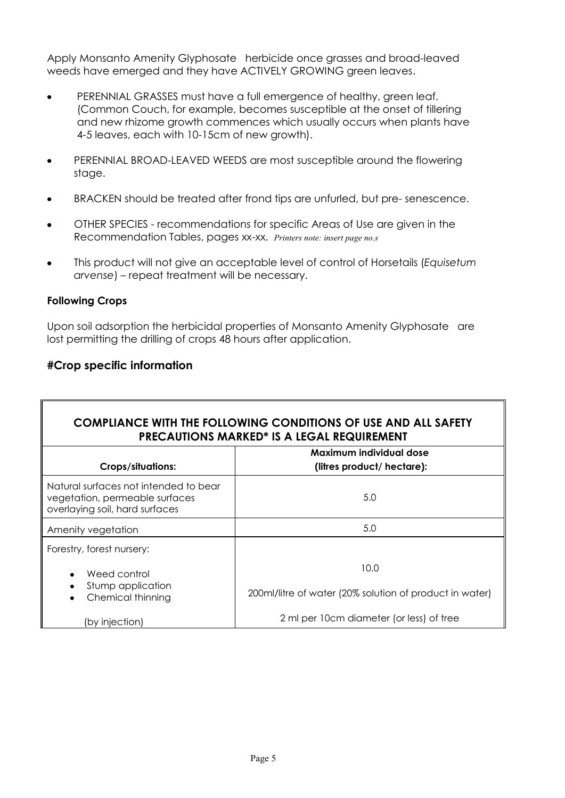Apply Monsanto Amenity Glyphosate herbicide once grasses and broad-leaved weeds have emerged and they have ACTIVELY GROWING green leaves.

- PERENNIAL GRASSES must have a full emergence of healthy, green leaf. (Common Couch, for example, becomes susceptible at the onset of tillering and new rhizome growth commences which usually occurs when plants have 4-5 leaves, each with 10-15cm of new growth).
- PERENNIAL BROAD-LEAVED WEEDS are most susceptible around the flowering stage.
- BRACKEN should be treated after frond tips are unfurled, but pre- senescence.
- OTHER SPECIES recommendations for specific Areas of Use are given in the Recommendation Tables, pages xx-xx. *Printers note: insert page no.s*
- This product will not give an acceptable level of control of Horsetails (*Equisetum arvense*) – repeat treatment will be necessary.

#### **Following Crops**

 $\mathsf T$ 

Upon soil adsorption the herbicidal properties of Monsanto Amenity Glyphosate are lost permitting the drilling of crops 48 hours after application.

#### **#Crop specific information**

| <b>COMPLIANCE WITH THE FOLLOWING CONDITIONS OF USE AND ALL SAFETY</b><br><b>PRECAUTIONS MARKED* IS A LEGAL REQUIREMENT</b> |                                                                 |  |  |  |  |
|----------------------------------------------------------------------------------------------------------------------------|-----------------------------------------------------------------|--|--|--|--|
|                                                                                                                            | Maximum individual dose                                         |  |  |  |  |
| <b>Crops/situations:</b>                                                                                                   | (litres product/ hectare):                                      |  |  |  |  |
| Natural surfaces not intended to bear<br>vegetation, permeable surfaces<br>overlaying soil, hard surfaces                  | 5.0                                                             |  |  |  |  |
| Amenity vegetation                                                                                                         | 5.0                                                             |  |  |  |  |
| Forestry, forest nursery:                                                                                                  |                                                                 |  |  |  |  |
| Weed control<br>Stump application<br>Chemical thinning                                                                     | 10.0<br>200ml/litre of water (20% solution of product in water) |  |  |  |  |
| (by injection)                                                                                                             | 2 ml per 10cm diameter (or less) of tree                        |  |  |  |  |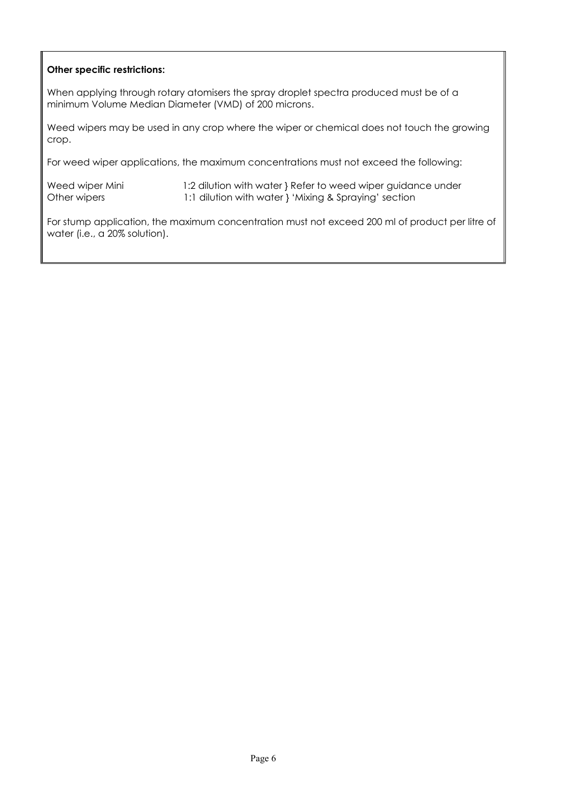#### **Other specific restrictions:**

When applying through rotary atomisers the spray droplet spectra produced must be of a minimum Volume Median Diameter (VMD) of 200 microns.

Weed wipers may be used in any crop where the wiper or chemical does not touch the growing crop.

For weed wiper applications, the maximum concentrations must not exceed the following:

Weed wiper Mini 1:2 dilution with water } Refer to weed wiper guidance under Other wipers 1:1 dilution with water } 'Mixing & Spraying' section

For stump application, the maximum concentration must not exceed 200 ml of product per litre of water (i.e., a 20% solution).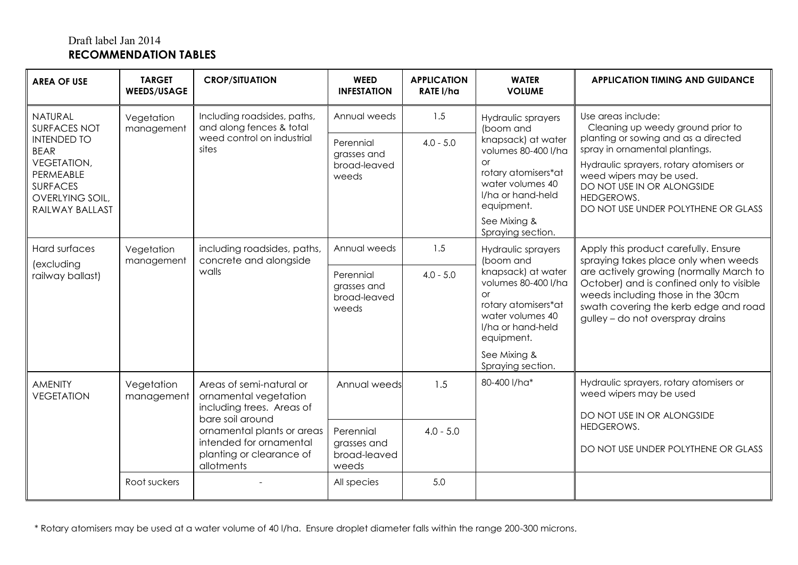### Draft label Jan 2014 **RECOMMENDATION TABLES**

| <b>AREA OF USE</b>                                                                                                                                                     | <b>TARGET</b><br><b>WEEDS/USAGE</b> | <b>CROP/SITUATION</b>                                                                          | <b>WEED</b><br><b>INFESTATION</b>                 | <b>APPLICATION</b><br><b>RATE I/ha</b>                                                                                        | <b>WATER</b><br><b>VOLUME</b>                                                                                                                                                                         | <b>APPLICATION TIMING AND GUIDANCE</b>                                                                                                                                                                                                                                                      |
|------------------------------------------------------------------------------------------------------------------------------------------------------------------------|-------------------------------------|------------------------------------------------------------------------------------------------|---------------------------------------------------|-------------------------------------------------------------------------------------------------------------------------------|-------------------------------------------------------------------------------------------------------------------------------------------------------------------------------------------------------|---------------------------------------------------------------------------------------------------------------------------------------------------------------------------------------------------------------------------------------------------------------------------------------------|
| <b>NATURAL</b><br><b>SURFACES NOT</b><br><b>INTENDED TO</b><br><b>BEAR</b><br><b>VEGETATION,</b><br>PERMEABLE<br><b>SURFACES</b><br>OVERLYING SOIL,<br>RAILWAY BALLAST | Vegetation<br>management            | Including roadsides, paths,<br>and along fences & total<br>weed control on industrial<br>sites | Annual weeds                                      | 1.5                                                                                                                           | Hydraulic sprayers<br>(boom and<br>knapsack) at water<br>volumes 80-400 l/ha<br><b>or</b><br>rotary atomisers*at<br>water volumes 40<br>I/ha or hand-held<br>equipment.                               | Use areas include:<br>Cleaning up weedy ground prior to<br>planting or sowing and as a directed<br>spray in ornamental plantings.<br>Hydraulic sprayers, rotary atomisers or<br>weed wipers may be used.<br>DO NOT USE IN OR ALONGSIDE<br>HEDGEROWS.<br>DO NOT USE UNDER POLYTHENE OR GLASS |
|                                                                                                                                                                        |                                     |                                                                                                | Perennial<br>grasses and<br>broad-leaved<br>weeds | $4.0 - 5.0$                                                                                                                   |                                                                                                                                                                                                       |                                                                                                                                                                                                                                                                                             |
|                                                                                                                                                                        |                                     |                                                                                                |                                                   |                                                                                                                               |                                                                                                                                                                                                       |                                                                                                                                                                                                                                                                                             |
| Hard surfaces<br>(excluding                                                                                                                                            | Vegetation<br>management            | including roadsides, paths,<br>concrete and alongside                                          | Annual weeds                                      | 1.5                                                                                                                           | Hydraulic sprayers<br>(boom and                                                                                                                                                                       | Apply this product carefully. Ensure<br>spraying takes place only when weeds                                                                                                                                                                                                                |
| walls<br>railway ballast)                                                                                                                                              |                                     | Perennial<br>grasses and<br>broad-leaved<br>weeds                                              | $4.0 - 5.0$                                       | knapsack) at water<br>volumes 80-400 l/ha<br>or<br>rotary atomisers*at<br>water volumes 40<br>I/ha or hand-held<br>equipment. | are actively growing (normally March to<br>October) and is confined only to visible<br>weeds including those in the 30cm<br>swath covering the kerb edge and road<br>gulley - do not overspray drains |                                                                                                                                                                                                                                                                                             |
|                                                                                                                                                                        |                                     |                                                                                                |                                                   |                                                                                                                               | See Mixing &<br>Spraying section.                                                                                                                                                                     |                                                                                                                                                                                                                                                                                             |
| <b>AMENITY</b><br><b>VEGETATION</b>                                                                                                                                    | Vegetation<br>management            | Areas of semi-natural or<br>ornamental vegetation<br>including trees. Areas of                 | Annual weeds                                      | 1.5                                                                                                                           | 80-400 l/ha*                                                                                                                                                                                          | Hydraulic sprayers, rotary atomisers or<br>weed wipers may be used<br>DO NOT USE IN OR ALONGSIDE                                                                                                                                                                                            |
|                                                                                                                                                                        |                                     | bare soil around<br>ornamental plants or areas<br>intended for ornamental                      | Perennial<br>grasses and                          | $4.0 - 5.0$                                                                                                                   |                                                                                                                                                                                                       | HEDGEROWS.<br>DO NOT USE UNDER POLYTHENE OR GLASS                                                                                                                                                                                                                                           |
|                                                                                                                                                                        |                                     | planting or clearance of<br>allotments                                                         | broad-leaved<br>weeds                             |                                                                                                                               |                                                                                                                                                                                                       |                                                                                                                                                                                                                                                                                             |
|                                                                                                                                                                        | Root suckers                        |                                                                                                | All species                                       | 5.0                                                                                                                           |                                                                                                                                                                                                       |                                                                                                                                                                                                                                                                                             |

\* Rotary atomisers may be used at a water volume of 40 l/ha. Ensure droplet diameter falls within the range 200-300 microns.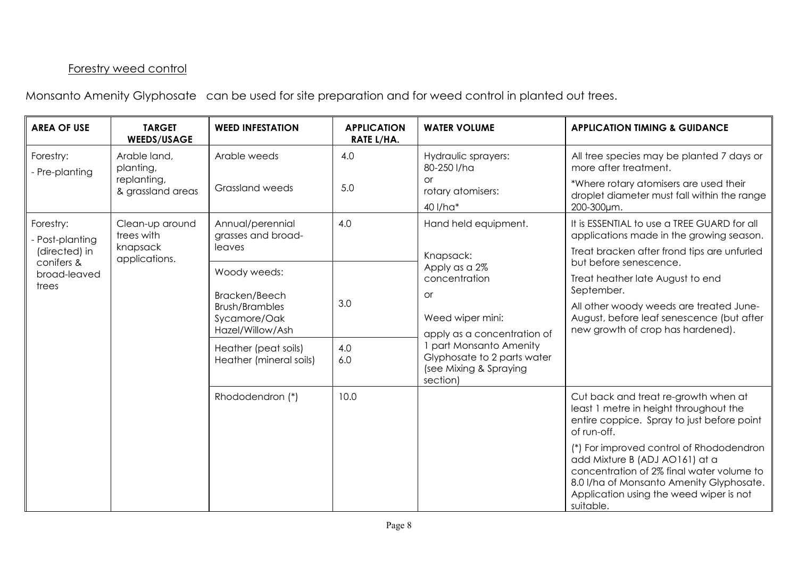## Forestry weed control

Monsanto Amenity Glyphosate can be used for site preparation and for weed control in planted out trees.

| <b>AREA OF USE</b>               | <b>TARGET</b><br><b>WEEDS/USAGE</b> | <b>WEED INFESTATION</b>                                                    | <b>APPLICATION</b><br><b>RATE L/HA.</b>        | <b>WATER VOLUME</b>                                                                                                                                          | <b>APPLICATION TIMING &amp; GUIDANCE</b>                                                                                                                                                                                    |
|----------------------------------|-------------------------------------|----------------------------------------------------------------------------|------------------------------------------------|--------------------------------------------------------------------------------------------------------------------------------------------------------------|-----------------------------------------------------------------------------------------------------------------------------------------------------------------------------------------------------------------------------|
| Forestry:<br>- Pre-planting      | Arable land,<br>planting,           | Arable weeds                                                               | 4.0                                            | Hydraulic sprayers:<br>80-250 l/ha                                                                                                                           | All tree species may be planted 7 days or<br>more after treatment.                                                                                                                                                          |
| replanting,<br>& grassland areas | <b>Grassland weeds</b>              | 5.0                                                                        | <b>or</b><br>rotary atomisers:<br>40 l/ha*     | *Where rotary atomisers are used their<br>droplet diameter must fall within the range<br>200-300um.                                                          |                                                                                                                                                                                                                             |
| Forestry:<br>Post-planting       | Clean-up around<br>trees with       | Annual/perennial<br>grasses and broad-                                     | 4.0                                            | Hand held equipment.                                                                                                                                         | It is ESSENTIAL to use a TREE GUARD for all<br>applications made in the growing season.                                                                                                                                     |
| (directed) in<br>conifers &      | knapsack<br>applications.           | leaves                                                                     |                                                | Knapsack:<br>Apply as a 2%                                                                                                                                   | Treat bracken after frond tips are unfurled<br>but before senescence.                                                                                                                                                       |
| broad-leaved<br>trees            | Woody weeds:<br>concentration       |                                                                            | Treat heather late August to end<br>September. |                                                                                                                                                              |                                                                                                                                                                                                                             |
|                                  |                                     | Bracken/Beech<br><b>Brush/Brambles</b><br>Sycamore/Oak<br>Hazel/Willow/Ash | 3.0                                            | <b>or</b><br>Weed wiper mini:<br>apply as a concentration of<br>1 part Monsanto Amenity<br>Glyphosate to 2 parts water<br>(see Mixing & Spraying<br>section) | All other woody weeds are treated June-<br>August, before leaf senescence (but after<br>new growth of crop has hardened).                                                                                                   |
|                                  |                                     | Heather (peat soils)<br>Heather (mineral soils)                            | 4.0<br>6.0                                     |                                                                                                                                                              |                                                                                                                                                                                                                             |
|                                  |                                     | Rhododendron (*)                                                           | 10.0                                           |                                                                                                                                                              | Cut back and treat re-growth when at<br>least 1 metre in height throughout the<br>entire coppice. Spray to just before point<br>of run-off.                                                                                 |
|                                  |                                     |                                                                            |                                                |                                                                                                                                                              | (*) For improved control of Rhododendron<br>add Mixture B (ADJ AO161) at a<br>concentration of 2% final water volume to<br>8.0 I/ha of Monsanto Amenity Glyphosate.<br>Application using the weed wiper is not<br>suitable. |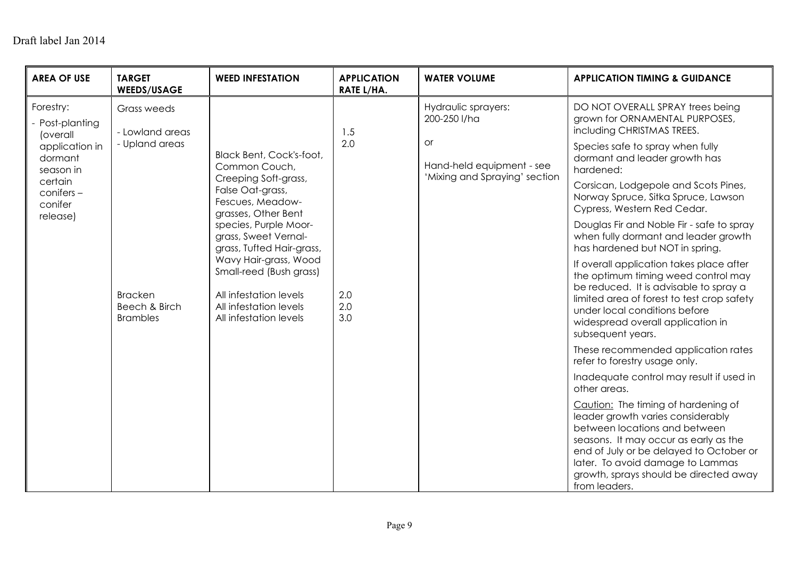## Draft label Jan 2014

| <b>AREA OF USE</b>                          | <b>TARGET</b><br><b>WEEDS/USAGE</b>                | <b>WEED INFESTATION</b>                                                                                                        | <b>APPLICATION</b><br>RATE L/HA. | <b>WATER VOLUME</b>                                                                                        | <b>APPLICATION TIMING &amp; GUIDANCE</b>                                                                                                                                                                                                                                                     |
|---------------------------------------------|----------------------------------------------------|--------------------------------------------------------------------------------------------------------------------------------|----------------------------------|------------------------------------------------------------------------------------------------------------|----------------------------------------------------------------------------------------------------------------------------------------------------------------------------------------------------------------------------------------------------------------------------------------------|
| Forestry:<br>Post-planting<br>(overall      | Grass weeds<br>- Lowland areas                     |                                                                                                                                | 1.5                              | Hydraulic sprayers:<br>200-250 l/ha                                                                        | DO NOT OVERALL SPRAY trees being<br>grown for ORNAMENTAL PURPOSES,<br>including CHRISTMAS TREES.                                                                                                                                                                                             |
| application in<br>dormant<br>season in      | - Upland areas                                     | Black Bent, Cock's-foot,<br>Common Couch,                                                                                      | 2.0                              | <b>or</b><br>Hand-held equipment - see                                                                     | Species safe to spray when fully<br>dormant and leader growth has<br>hardened:                                                                                                                                                                                                               |
| certain<br>conifers-<br>conifer<br>release) |                                                    | Creeping Soft-grass,<br>False Oat-grass,<br>Fescues, Meadow-<br>grasses, Other Bent                                            | 'Mixing and Spraying' section    | Corsican, Lodgepole and Scots Pines,<br>Norway Spruce, Sitka Spruce, Lawson<br>Cypress, Western Red Cedar. |                                                                                                                                                                                                                                                                                              |
|                                             |                                                    | species, Purple Moor-<br>grass, Sweet Vernal-<br>grass, Tufted Hair-grass,                                                     |                                  |                                                                                                            | Douglas Fir and Noble Fir - safe to spray<br>when fully dormant and leader growth<br>has hardened but NOT in spring.                                                                                                                                                                         |
|                                             | <b>Bracken</b><br>Beech & Birch<br><b>Brambles</b> | Wavy Hair-grass, Wood<br>Small-reed (Bush grass)<br>All infestation levels<br>All infestation levels<br>All infestation levels | 2.0<br>2.0<br>3.0                |                                                                                                            | If overall application takes place after<br>the optimum timing weed control may<br>be reduced. It is advisable to spray a<br>limited area of forest to test crop safety<br>under local conditions before<br>widespread overall application in<br>subsequent years.                           |
|                                             |                                                    |                                                                                                                                |                                  |                                                                                                            | These recommended application rates<br>refer to forestry usage only.                                                                                                                                                                                                                         |
|                                             |                                                    |                                                                                                                                |                                  |                                                                                                            | Inadequate control may result if used in<br>other areas.                                                                                                                                                                                                                                     |
|                                             |                                                    |                                                                                                                                |                                  |                                                                                                            | Caution: The timing of hardening of<br>leader growth varies considerably<br>between locations and between<br>seasons. It may occur as early as the<br>end of July or be delayed to October or<br>later. To avoid damage to Lammas<br>growth, sprays should be directed away<br>from leaders. |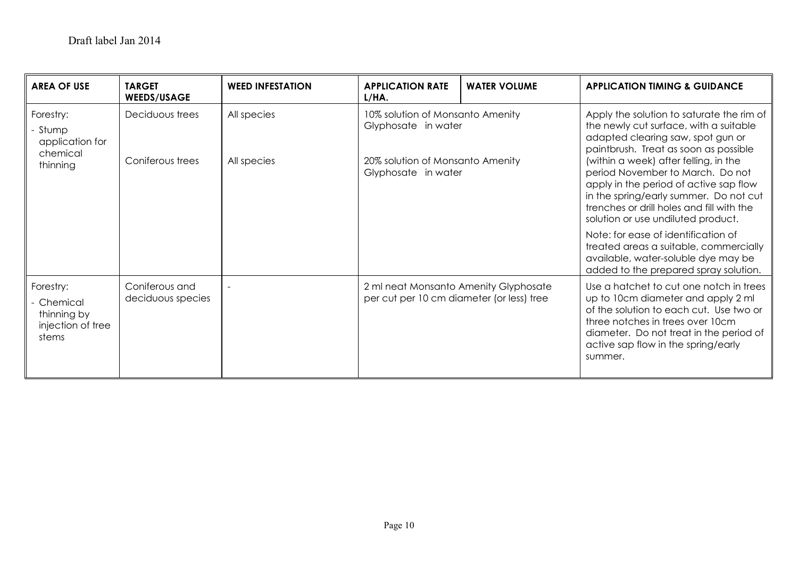| <b>AREA OF USE</b>                                                 | <b>TARGET</b><br><b>WEEDS/USAGE</b>                                                                                                                              | <b>WEED INFESTATION</b> | <b>APPLICATION RATE</b><br>L/HA.                                                                                                                                                                           | <b>WATER VOLUME</b> | <b>APPLICATION TIMING &amp; GUIDANCE</b>                                                                                                                                                                                                                  |
|--------------------------------------------------------------------|------------------------------------------------------------------------------------------------------------------------------------------------------------------|-------------------------|------------------------------------------------------------------------------------------------------------------------------------------------------------------------------------------------------------|---------------------|-----------------------------------------------------------------------------------------------------------------------------------------------------------------------------------------------------------------------------------------------------------|
| Forestry:<br>Stump<br>application for<br>chemical<br>thinning      | Deciduous trees<br>All species<br>10% solution of Monsanto Amenity<br>Glyphosate in water<br>Coniferous trees<br>All species<br>20% solution of Monsanto Amenity |                         | Apply the solution to saturate the rim of<br>the newly cut surface, with a suitable<br>adapted clearing saw, spot gun or<br>paintbrush. Treat as soon as possible<br>(within a week) after felling, in the |                     |                                                                                                                                                                                                                                                           |
|                                                                    |                                                                                                                                                                  |                         | Glyphosate in water                                                                                                                                                                                        |                     | period November to March. Do not<br>apply in the period of active sap flow<br>in the spring/early summer. Do not cut<br>trenches or drill holes and fill with the<br>solution or use undiluted product.                                                   |
|                                                                    |                                                                                                                                                                  |                         |                                                                                                                                                                                                            |                     | Note: for ease of identification of<br>treated areas a suitable, commercially<br>available, water-soluble dye may be<br>added to the prepared spray solution.                                                                                             |
| Forestry:<br>Chemical<br>thinning by<br>injection of tree<br>stems | Coniferous and<br>deciduous species                                                                                                                              |                         | 2 ml neat Monsanto Amenity Glyphosate<br>per cut per 10 cm diameter (or less) tree                                                                                                                         |                     | Use a hatchet to cut one notch in trees<br>up to 10cm diameter and apply 2 ml<br>of the solution to each cut. Use two or<br>three notches in trees over 10cm<br>diameter. Do not treat in the period of<br>active sap flow in the spring/early<br>summer. |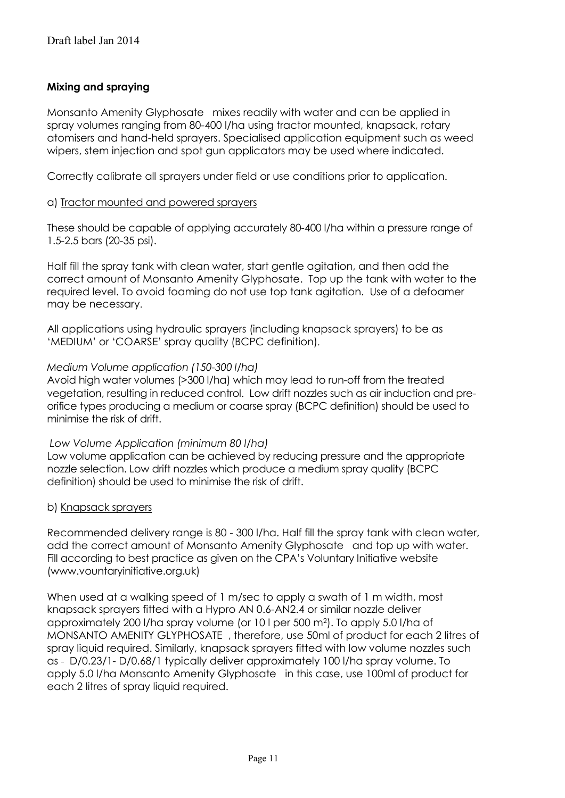#### **Mixing and spraying**

Monsanto Amenity Glyphosate mixes readily with water and can be applied in spray volumes ranging from 80-400 l/ha using tractor mounted, knapsack, rotary atomisers and hand-held sprayers. Specialised application equipment such as weed wipers, stem injection and spot gun applicators may be used where indicated.

Correctly calibrate all sprayers under field or use conditions prior to application.

#### a) Tractor mounted and powered sprayers

These should be capable of applying accurately 80-400 l/ha within a pressure range of 1.5-2.5 bars (20-35 psi).

Half fill the spray tank with clean water, start gentle agitation, and then add the correct amount of Monsanto Amenity Glyphosate. Top up the tank with water to the required level. To avoid foaming do not use top tank agitation. Use of a defoamer may be necessary.

All applications using hydraulic sprayers (including knapsack sprayers) to be as 'MEDIUM' or 'COARSE' spray quality (BCPC definition).

#### *Medium Volume application (150-300 l/ha)*

Avoid high water volumes (>300 l/ha) which may lead to run-off from the treated vegetation, resulting in reduced control. Low drift nozzles such as air induction and preorifice types producing a medium or coarse spray (BCPC definition) should be used to minimise the risk of drift.

#### *Low Volume Application (minimum 80 l/ha)*

Low volume application can be achieved by reducing pressure and the appropriate nozzle selection. Low drift nozzles which produce a medium spray quality (BCPC definition) should be used to minimise the risk of drift.

#### b) Knapsack sprayers

Recommended delivery range is 80 - 300 l/ha. Half fill the spray tank with clean water, add the correct amount of Monsanto Amenity Glyphosate and top up with water. Fill according to best practice as given on the CPA's Voluntary Initiative website (www.vountaryinitiative.org.uk)

When used at a walking speed of 1 m/sec to apply a swath of 1 m width, most knapsack sprayers fitted with a Hypro AN 0.6-AN2.4 or similar nozzle deliver approximately 200 l/ha spray volume (or 10 l per 500 m2). To apply 5.0 l/ha of MONSANTO AMENITY GLYPHOSATE , therefore, use 50ml of product for each 2 litres of spray liquid required. Similarly, knapsack sprayers fitted with low volume nozzles such as - D/0.23/1- D/0.68/1 typically deliver approximately 100 l/ha spray volume. To apply 5.0 l/ha Monsanto Amenity Glyphosate in this case, use 100ml of product for each 2 litres of spray liquid required.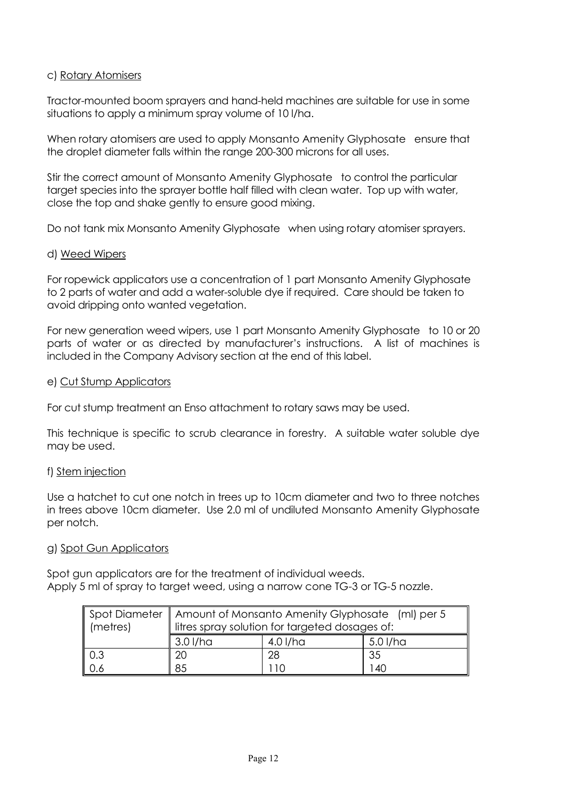#### c) Rotary Atomisers

Tractor-mounted boom sprayers and hand-held machines are suitable for use in some situations to apply a minimum spray volume of 10 l/ha.

When rotary atomisers are used to apply Monsanto Amenity Glyphosate ensure that the droplet diameter falls within the range 200-300 microns for all uses.

Stir the correct amount of Monsanto Amenity Glyphosate to control the particular target species into the sprayer bottle half filled with clean water. Top up with water, close the top and shake gently to ensure good mixing.

Do not tank mix Monsanto Amenity Glyphosate when using rotary atomiser sprayers.

#### d) Weed Wipers

For ropewick applicators use a concentration of 1 part Monsanto Amenity Glyphosate to 2 parts of water and add a water-soluble dye if required. Care should be taken to avoid dripping onto wanted vegetation.

For new generation weed wipers, use 1 part Monsanto Amenity Glyphosate to 10 or 20 parts of water or as directed by manufacturer's instructions. A list of machines is included in the Company Advisory section at the end of this label.

#### e) Cut Stump Applicators

For cut stump treatment an Enso attachment to rotary saws may be used.

This technique is specific to scrub clearance in forestry. A suitable water soluble dye may be used.

#### f) Stem injection

Use a hatchet to cut one notch in trees up to 10cm diameter and two to three notches in trees above 10cm diameter. Use 2.0 ml of undiluted Monsanto Amenity Glyphosate per notch.

#### g) Spot Gun Applicators

Spot gun applicators are for the treatment of individual weeds. Apply 5 ml of spray to target weed, using a narrow cone TG-3 or TG-5 nozzle.

|          | Spot Diameter   Amount of Monsanto Amenity Glyphosate (ml) per 5 |          |          |  |  |  |
|----------|------------------------------------------------------------------|----------|----------|--|--|--|
| (metres) | litres spray solution for targeted dosages of:                   |          |          |  |  |  |
|          | 3.0 l/ha                                                         | 4.0 l/ha | 5.0 I/ha |  |  |  |
| 0.3      | 20                                                               | 28       | -35      |  |  |  |
| 0.6      | 85<br>140                                                        |          |          |  |  |  |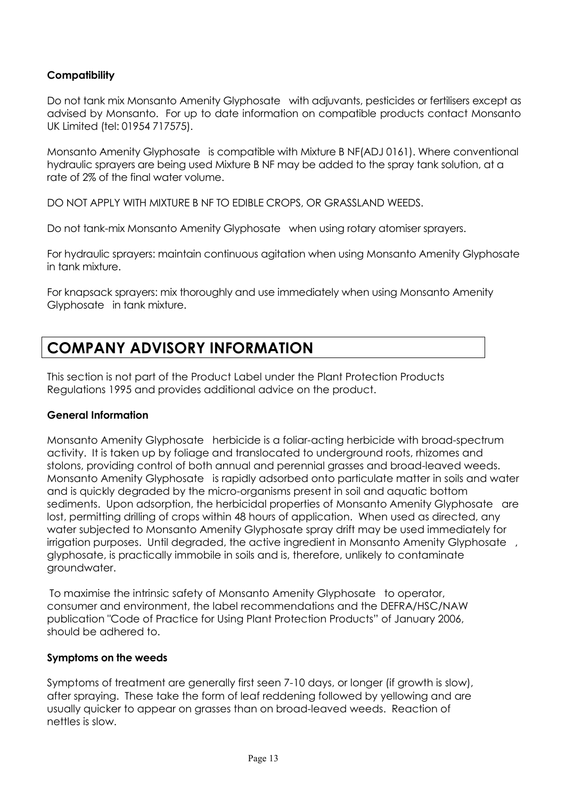#### **Compatibility**

Do not tank mix Monsanto Amenity Glyphosate with adjuvants, pesticides or fertilisers except as advised by Monsanto. For up to date information on compatible products contact Monsanto UK Limited (tel: 01954 717575).

Monsanto Amenity Glyphosate is compatible with Mixture B NF(ADJ 0161). Where conventional hydraulic sprayers are being used Mixture B NF may be added to the spray tank solution, at a rate of 2% of the final water volume.

DO NOT APPLY WITH MIXTURE B NF TO EDIBLE CROPS, OR GRASSLAND WEEDS.

Do not tank-mix Monsanto Amenity Glyphosate when using rotary atomiser sprayers.

For hydraulic sprayers: maintain continuous agitation when using Monsanto Amenity Glyphosate in tank mixture.

For knapsack sprayers: mix thoroughly and use immediately when using Monsanto Amenity Glyphosate in tank mixture.

# **COMPANY ADVISORY INFORMATION**

This section is not part of the Product Label under the Plant Protection Products Regulations 1995 and provides additional advice on the product.

#### **General Information**

Monsanto Amenity Glyphosate herbicide is a foliar-acting herbicide with broad-spectrum activity. It is taken up by foliage and translocated to underground roots, rhizomes and stolons, providing control of both annual and perennial grasses and broad-leaved weeds. Monsanto Amenity Glyphosate is rapidly adsorbed onto particulate matter in soils and water and is quickly degraded by the micro-organisms present in soil and aquatic bottom sediments. Upon adsorption, the herbicidal properties of Monsanto Amenity Glyphosate are lost, permitting drilling of crops within 48 hours of application. When used as directed, any water subjected to Monsanto Amenity Glyphosate spray drift may be used immediately for irrigation purposes. Until degraded, the active ingredient in Monsanto Amenity Glyphosate, glyphosate, is practically immobile in soils and is, therefore, unlikely to contaminate groundwater.

To maximise the intrinsic safety of Monsanto Amenity Glyphosate to operator, consumer and environment, the label recommendations and the DEFRA/HSC/NAW publication "Code of Practice for Using Plant Protection Products" of January 2006, should be adhered to.

#### **Symptoms on the weeds**

Symptoms of treatment are generally first seen 7-10 days, or longer (if growth is slow), after spraying. These take the form of leaf reddening followed by yellowing and are usually quicker to appear on grasses than on broad-leaved weeds. Reaction of nettles is slow.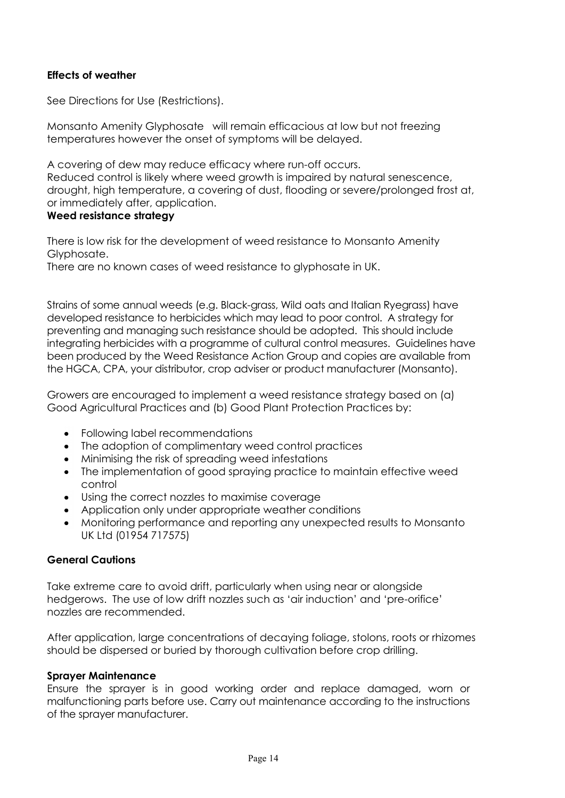#### **Effects of weather**

See Directions for Use (Restrictions).

Monsanto Amenity Glyphosate will remain efficacious at low but not freezing temperatures however the onset of symptoms will be delayed.

A covering of dew may reduce efficacy where run-off occurs. Reduced control is likely where weed growth is impaired by natural senescence, drought, high temperature, a covering of dust, flooding or severe/prolonged frost at, or immediately after, application.

#### **Weed resistance strategy**

There is low risk for the development of weed resistance to Monsanto Amenity Glyphosate.

There are no known cases of weed resistance to glyphosate in UK.

Strains of some annual weeds (e.g. Black-grass, Wild oats and Italian Ryegrass) have developed resistance to herbicides which may lead to poor control. A strategy for preventing and managing such resistance should be adopted. This should include integrating herbicides with a programme of cultural control measures. Guidelines have been produced by the Weed Resistance Action Group and copies are available from the HGCA, CPA, your distributor, crop adviser or product manufacturer (Monsanto).

Growers are encouraged to implement a weed resistance strategy based on (a) Good Agricultural Practices and (b) Good Plant Protection Practices by:

- Following label recommendations  $\bullet$
- The adoption of complimentary weed control practices
- Minimising the risk of spreading weed infestations
- The implementation of good spraying practice to maintain effective weed  $\bullet$ control
- Using the correct nozzles to maximise coverage
- Application only under appropriate weather conditions
- Monitoring performance and reporting any unexpected results to Monsanto UK Ltd (01954 717575)

#### **General Cautions**

Take extreme care to avoid drift, particularly when using near or alongside hedgerows. The use of low drift nozzles such as 'air induction' and 'pre-orifice' nozzles are recommended.

After application, large concentrations of decaying foliage, stolons, roots or rhizomes should be dispersed or buried by thorough cultivation before crop drilling.

#### **Sprayer Maintenance**

Ensure the sprayer is in good working order and replace damaged, worn or malfunctioning parts before use. Carry out maintenance according to the instructions of the sprayer manufacturer.